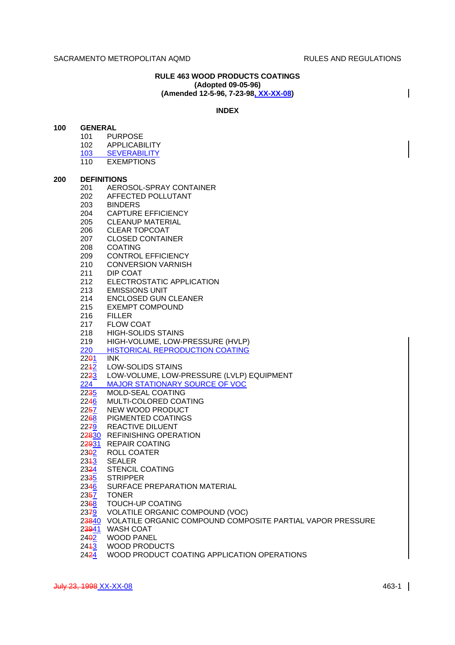$\overline{\phantom{a}}$ 

# **RULE 463 WOOD PRODUCTS COATINGS (Adopted 09-05-96) (Amended 12-5-96, 7-23-98, XX-XX-08)**

## **INDEX**

| 100 |                   | <b>GENERAL</b>                                                   |  |  |  |  |  |  |
|-----|-------------------|------------------------------------------------------------------|--|--|--|--|--|--|
|     |                   | 101 PURPOSE                                                      |  |  |  |  |  |  |
|     |                   | 102 APPLICABILITY                                                |  |  |  |  |  |  |
|     |                   | 103 SEVERABILITY                                                 |  |  |  |  |  |  |
|     |                   | 110 EXEMPTIONS                                                   |  |  |  |  |  |  |
| 200 |                   |                                                                  |  |  |  |  |  |  |
|     |                   | <b>DEFINITIONS</b><br>201<br>AEROSOL-SPRAY CONTAINER             |  |  |  |  |  |  |
|     |                   | 202 AFFECTED POLLUTANT                                           |  |  |  |  |  |  |
|     |                   | 203 BINDERS                                                      |  |  |  |  |  |  |
|     |                   | 204 CAPTURE EFFICIENCY                                           |  |  |  |  |  |  |
|     |                   | 205 CLEANUP MATERIAL                                             |  |  |  |  |  |  |
|     |                   | 206 CLEAR TOPCOAT                                                |  |  |  |  |  |  |
|     | 207               | <b>CLOSED CONTAINER</b>                                          |  |  |  |  |  |  |
|     | 208               | <b>COATING</b>                                                   |  |  |  |  |  |  |
|     | 209               | <b>CONTROL EFFICIENCY</b>                                        |  |  |  |  |  |  |
|     | 210               | <b>CONVERSION VARNISH</b>                                        |  |  |  |  |  |  |
|     | 211               | DIP COAT                                                         |  |  |  |  |  |  |
|     | 212               | ELECTROSTATIC APPLICATION                                        |  |  |  |  |  |  |
|     |                   | 213 EMISSIONS UNIT                                               |  |  |  |  |  |  |
|     |                   | 214 ENCLOSED GUN CLEANER                                         |  |  |  |  |  |  |
|     |                   | 215 EXEMPT COMPOUND                                              |  |  |  |  |  |  |
|     |                   | 216 FILLER                                                       |  |  |  |  |  |  |
|     |                   | 217 FLOW COAT                                                    |  |  |  |  |  |  |
|     |                   | 218 HIGH-SOLIDS STAINS                                           |  |  |  |  |  |  |
|     | 219               | HIGH-VOLUME, LOW-PRESSURE (HVLP)                                 |  |  |  |  |  |  |
|     |                   | 220 HISTORICAL REPRODUCTION COATING                              |  |  |  |  |  |  |
|     | 2291              | <b>INK</b>                                                       |  |  |  |  |  |  |
|     |                   | 2242 LOW-SOLIDS STAINS                                           |  |  |  |  |  |  |
|     |                   | 2223 LOW-VOLUME, LOW-PRESSURE (LVLP) EQUIPMENT                   |  |  |  |  |  |  |
|     |                   | 224 MAJOR STATIONARY SOURCE OF VOC                               |  |  |  |  |  |  |
|     |                   | 2235 MOLD-SEAL COATING                                           |  |  |  |  |  |  |
|     |                   | 2246 MULTI-COLORED COATING                                       |  |  |  |  |  |  |
|     |                   | 2257 NEW WOOD PRODUCT                                            |  |  |  |  |  |  |
|     |                   | 2268 PIGMENTED COATINGS                                          |  |  |  |  |  |  |
|     |                   | 2279 REACTIVE DILUENT                                            |  |  |  |  |  |  |
|     |                   | 22830 REFINISHING OPERATION                                      |  |  |  |  |  |  |
|     |                   | 22931 REPAIR COATING                                             |  |  |  |  |  |  |
|     |                   | 2302 ROLL COATER                                                 |  |  |  |  |  |  |
|     |                   | 2343 SEALER                                                      |  |  |  |  |  |  |
|     | 23 <del>2</del> 4 | <b>STENCIL COATING</b>                                           |  |  |  |  |  |  |
|     |                   | 2335 STRIPPER                                                    |  |  |  |  |  |  |
|     |                   | 2346 SURFACE PREPARATION MATERIAL                                |  |  |  |  |  |  |
|     |                   | 2357 TONER                                                       |  |  |  |  |  |  |
|     |                   | 2368 TOUCH-UP COATING                                            |  |  |  |  |  |  |
|     |                   | 2379 VOLATILE ORGANIC COMPOUND (VOC)                             |  |  |  |  |  |  |
|     |                   | 23840 VOLATILE ORGANIC COMPOUND COMPOSITE PARTIAL VAPOR PRESSURE |  |  |  |  |  |  |
|     |                   | 23941 WASH COAT                                                  |  |  |  |  |  |  |
|     |                   | 2402 WOOD PANEL                                                  |  |  |  |  |  |  |
|     |                   | 2443 WOOD PRODUCTS                                               |  |  |  |  |  |  |
|     |                   | 2424 WOOD PRODUCT COATING APPLICATION OPERATIONS                 |  |  |  |  |  |  |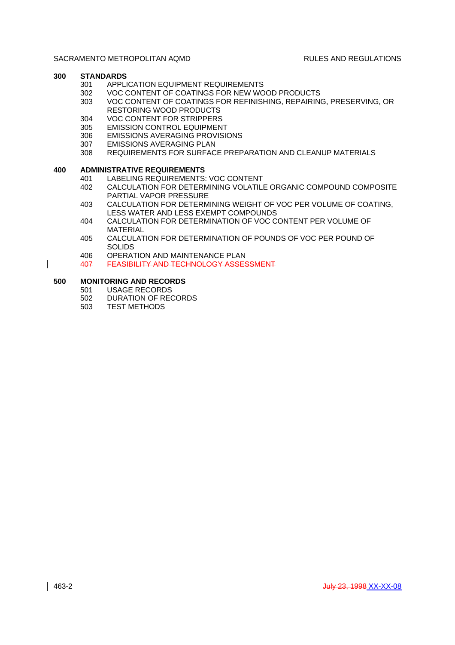# **300 STANDARDS**

- 301 APPLICATION EQUIPMENT REQUIREMENTS
- 302 VOC CONTENT OF COATINGS FOR NEW WOOD PRODUCTS
- 303 VOC CONTENT OF COATINGS FOR REFINISHING, REPAIRING, PRESERVING, OR RESTORING WOOD PRODUCTS
- 304 VOC CONTENT FOR STRIPPERS
- 305 EMISSION CONTROL EQUIPMENT
- 306 EMISSIONS AVERAGING PROVISIONS
- 307 EMISSIONS AVERAGING PLAN
- 308 REQUIREMENTS FOR SURFACE PREPARATION AND CLEANUP MATERIALS

# **400 ADMINISTRATIVE REQUIREMENTS**

- 401 LABELING REQUIREMENTS: VOC CONTENT
- 402 CALCULATION FOR DETERMINING VOLATILE ORGANIC COMPOUND COMPOSITE PARTIAL VAPOR PRESSURE
- 403 CALCULATION FOR DETERMINING WEIGHT OF VOC PER VOLUME OF COATING, LESS WATER AND LESS EXEMPT COMPOUNDS
- 404 CALCULATION FOR DETERMINATION OF VOC CONTENT PER VOLUME OF MATERIAL
- 405 CALCULATION FOR DETERMINATION OF POUNDS OF VOC PER POUND OF SOLIDS
- 406 OPERATION AND MAINTENANCE PLAN
- 407 FEASIBILITY AND TECHNOLOGY ASSESSMENT

# **500 MONITORING AND RECORDS**

 $\mathsf{l}$ 

- 501 USAGE RECORDS
- 502 DURATION OF RECORDS
- 503 TEST METHODS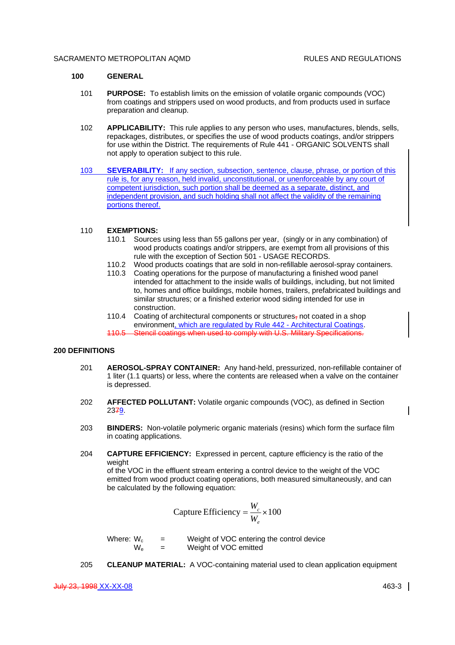#### **100 GENERAL**

- 101 **PURPOSE:** To establish limits on the emission of volatile organic compounds (VOC) from coatings and strippers used on wood products, and from products used in surface preparation and cleanup.
- 102 **APPLICABILITY:** This rule applies to any person who uses, manufactures, blends, sells, repackages, distributes, or specifies the use of wood products coatings, and/or strippers for use within the District. The requirements of Rule 441 - ORGANIC SOLVENTS shall not apply to operation subject to this rule.
- 103 **SEVERABILITY:** If any section, subsection, sentence, clause, phrase, or portion of this rule is, for any reason, held invalid, unconstitutional, or unenforceable by any court of competent jurisdiction, such portion shall be deemed as a separate, distinct, and independent provision, and such holding shall not affect the validity of the remaining portions thereof.

## 110 **EXEMPTIONS:**

- 110.1 Sources using less than 55 gallons per year, (singly or in any combination) of wood products coatings and/or strippers, are exempt from all provisions of this rule with the exception of Section 501 - USAGE RECORDS.
- 110.2 Wood products coatings that are sold in non-refillable aerosol-spray containers.
- 110.3 Coating operations for the purpose of manufacturing a finished wood panel intended for attachment to the inside walls of buildings, including, but not limited to, homes and office buildings, mobile homes, trailers, prefabricated buildings and similar structures; or a finished exterior wood siding intended for use in construction.
- 110.4 Coating of architectural components or structures, not coated in a shop environment, which are regulated by Rule 442 - Architectural Coatings. 110.5 Stencil coatings when used to comply with U.S. Military Specifications.

#### **200 DEFINITIONS**

- 201 **AEROSOL-SPRAY CONTAINER:** Any hand-held, pressurized, non-refillable container of 1 liter (1.1 quarts) or less, where the contents are released when a valve on the container is depressed.
- 202 **AFFECTED POLLUTANT:** Volatile organic compounds (VOC), as defined in Section 2379.
- 203 **BINDERS:** Non-volatile polymeric organic materials (resins) which form the surface film in coating applications.
- 204 **CAPTURE EFFICIENCY:** Expressed in percent, capture efficiency is the ratio of the weight

of the VOC in the effluent stream entering a control device to the weight of the VOC emitted from wood product coating operations, both measured simultaneously, and can be calculated by the following equation:

$$
Capture Efficiency = \frac{W_c}{W_e} \times 100
$$

Where:  $W_c$  = Weight of VOC entering the control device  $W_e$  = Weight of VOC emitted

205 **CLEANUP MATERIAL:** A VOC-containing material used to clean application equipment

July 23, 1998 XX-XX-08 463-3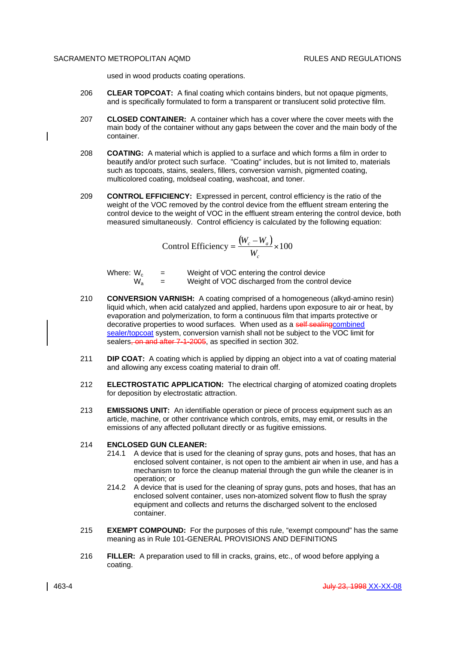used in wood products coating operations.

- 206 **CLEAR TOPCOAT:** A final coating which contains binders, but not opaque pigments, and is specifically formulated to form a transparent or translucent solid protective film.
- 207 **CLOSED CONTAINER:** A container which has a cover where the cover meets with the main body of the container without any gaps between the cover and the main body of the container.
- 208 **COATING:** A material which is applied to a surface and which forms a film in order to beautify and/or protect such surface. "Coating" includes, but is not limited to, materials such as topcoats, stains, sealers, fillers, conversion varnish, pigmented coating, multicolored coating, moldseal coating, washcoat, and toner.
- 209 **CONTROL EFFICIENCY:** Expressed in percent, control efficiency is the ratio of the weight of the VOC removed by the control device from the effluent stream entering the control device to the weight of VOC in the effluent stream entering the control device, both measured simultaneously. Control efficiency is calculated by the following equation:

Control Efficiency 
$$
=\frac{(W_c - W_a)}{W_c} \times 100
$$

Where:  $W_c$  = Weight of VOC entering the control device<br>  $W_a$  = Weight of VOC discharged from the control Weight of VOC discharged from the control device

- 210 **CONVERSION VARNISH:** A coating comprised of a homogeneous (alkyd-amino resin) liquid which, when acid catalyzed and applied, hardens upon exposure to air or heat, by evaporation and polymerization, to form a continuous film that imparts protective or decorative properties to wood surfaces. When used as a self-sealing combined sealer/topcoat system, conversion varnish shall not be subject to the VOC limit for sealers, on and after 7-1-2005, as specified in section 302.
- 211 **DIP COAT:** A coating which is applied by dipping an object into a vat of coating material and allowing any excess coating material to drain off.
- 212 **ELECTROSTATIC APPLICATION:** The electrical charging of atomized coating droplets for deposition by electrostatic attraction.
- 213 **EMISSIONS UNIT:** An identifiable operation or piece of process equipment such as an article, machine, or other contrivance which controls, emits, may emit, or results in the emissions of any affected pollutant directly or as fugitive emissions.

#### 214 **ENCLOSED GUN CLEANER:**

- 214.1 A device that is used for the cleaning of spray guns, pots and hoses, that has an enclosed solvent container, is not open to the ambient air when in use, and has a mechanism to force the cleanup material through the gun while the cleaner is in operation; or
- 214.2 A device that is used for the cleaning of spray guns, pots and hoses, that has an enclosed solvent container, uses non-atomized solvent flow to flush the spray equipment and collects and returns the discharged solvent to the enclosed container.
- 215 **EXEMPT COMPOUND:** For the purposes of this rule, "exempt compound" has the same meaning as in Rule 101-GENERAL PROVISIONS AND DEFINITIONS
- 216 **FILLER:** A preparation used to fill in cracks, grains, etc., of wood before applying a coating.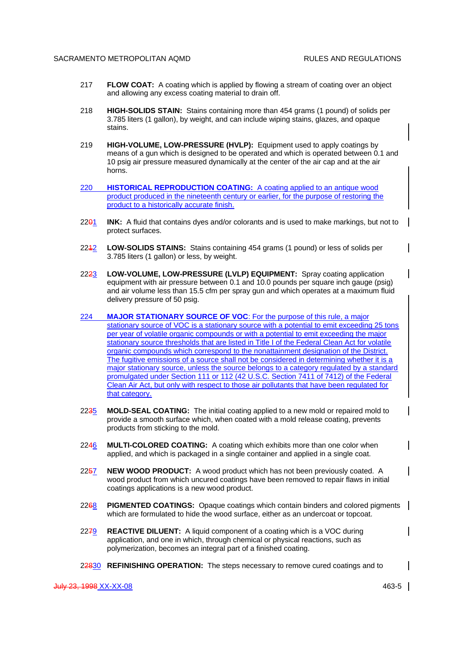- 217 **FLOW COAT:** A coating which is applied by flowing a stream of coating over an object and allowing any excess coating material to drain off.
- 218 **HIGH-SOLIDS STAIN:** Stains containing more than 454 grams (1 pound) of solids per 3.785 liters (1 gallon), by weight, and can include wiping stains, glazes, and opaque stains.
- 219 **HIGH-VOLUME, LOW-PRESSURE (HVLP):** Equipment used to apply coatings by means of a gun which is designed to be operated and which is operated between 0.1 and 10 psig air pressure measured dynamically at the center of the air cap and at the air horns.
- 220 **HISTORICAL REPRODUCTION COATING:** A coating applied to an antique wood product produced in the nineteenth century or earlier, for the purpose of restoring the product to a historically accurate finish.
- 2201 **INK:** A fluid that contains dyes and/or colorants and is used to make markings, but not to protect surfaces.
- 2212 **LOW-SOLIDS STAINS:** Stains containing 454 grams (1 pound) or less of solids per 3.785 liters (1 gallon) or less, by weight.
- 2223 **LOW-VOLUME, LOW-PRESSURE (LVLP) EQUIPMENT:** Spray coating application equipment with air pressure between 0.1 and 10.0 pounds per square inch gauge (psig) and air volume less than 15.5 cfm per spray gun and which operates at a maximum fluid delivery pressure of 50 psig.
- 224 **MAJOR STATIONARY SOURCE OF VOC**: For the purpose of this rule, a major stationary source of VOC is a stationary source with a potential to emit exceeding 25 tons per year of volatile organic compounds or with a potential to emit exceeding the major stationary source thresholds that are listed in Title I of the Federal Clean Act for volatile organic compounds which correspond to the nonattainment designation of the District. The fugitive emissions of a source shall not be considered in determining whether it is a major stationary source, unless the source belongs to a category regulated by a standard promulgated under Section 111 or 112 (42 U.S.C. Section 7411 of 7412) of the Federal Clean Air Act, but only with respect to those air pollutants that have been regulated for that category.
- 2235 **MOLD-SEAL COATING:** The initial coating applied to a new mold or repaired mold to provide a smooth surface which, when coated with a mold release coating, prevents products from sticking to the mold.
- 2246 **MULTI-COLORED COATING:** A coating which exhibits more than one color when applied, and which is packaged in a single container and applied in a single coat.
- 2257 **NEW WOOD PRODUCT:** A wood product which has not been previously coated. A wood product from which uncured coatings have been removed to repair flaws in initial coatings applications is a new wood product.
- 2268 **PIGMENTED COATINGS:** Opaque coatings which contain binders and colored pigments which are formulated to hide the wood surface, either as an undercoat or topcoat.
- 2279 **REACTIVE DILUENT:** A liquid component of a coating which is a VOC during application, and one in which, through chemical or physical reactions, such as polymerization, becomes an integral part of a finished coating.
- 22830 **REFINISHING OPERATION:** The steps necessary to remove cured coatings and to

 $\mathsf{l}$ 

 $\mathsf{l}$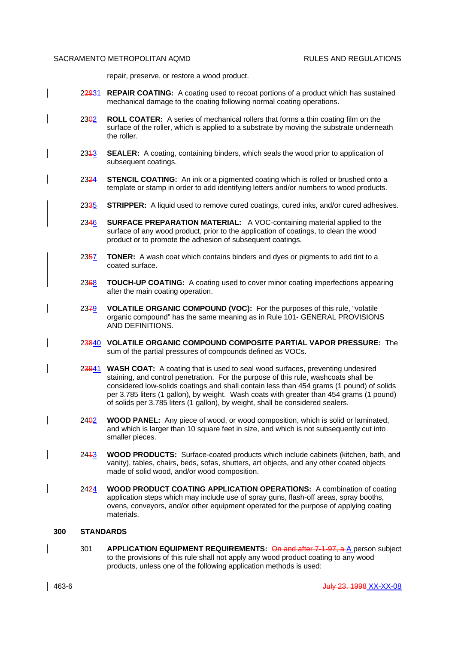repair, preserve, or restore a wood product.

- 22931 **REPAIR COATING:** A coating used to recoat portions of a product which has sustained mechanical damage to the coating following normal coating operations.
- 2302 **ROLL COATER:** A series of mechanical rollers that forms a thin coating film on the surface of the roller, which is applied to a substrate by moving the substrate underneath the roller.
- 2343 **SEALER:** A coating, containing binders, which seals the wood prior to application of subsequent coatings.
- 2324 **STENCIL COATING:** An ink or a pigmented coating which is rolled or brushed onto a template or stamp in order to add identifying letters and/or numbers to wood products.
- 2335 **STRIPPER:** A liquid used to remove cured coatings, cured inks, and/or cured adhesives.
- 2346 **SURFACE PREPARATION MATERIAL:** A VOC-containing material applied to the surface of any wood product, prior to the application of coatings, to clean the wood product or to promote the adhesion of subsequent coatings.
- 2357 **TONER:** A wash coat which contains binders and dyes or pigments to add tint to a coated surface.
- 2368 **TOUCH-UP COATING:** A coating used to cover minor coating imperfections appearing after the main coating operation.
- 2379 **VOLATILE ORGANIC COMPOUND (VOC):** For the purposes of this rule, "volatile organic compound" has the same meaning as in Rule 101- GENERAL PROVISIONS AND DEFINITIONS.
- 23840 **VOLATILE ORGANIC COMPOUND COMPOSITE PARTIAL VAPOR PRESSURE:** The sum of the partial pressures of compounds defined as VOCs.
- 23941 **WASH COAT:** A coating that is used to seal wood surfaces, preventing undesired staining, and control penetration. For the purpose of this rule, washcoats shall be considered low-solids coatings and shall contain less than 454 grams (1 pound) of solids per 3.785 liters (1 gallon), by weight. Wash coats with greater than 454 grams (1 pound) of solids per 3.785 liters (1 gallon), by weight, shall be considered sealers.
- 2402 **WOOD PANEL:** Any piece of wood, or wood composition, which is solid or laminated, and which is larger than 10 square feet in size, and which is not subsequently cut into smaller pieces.
- 2413 **WOOD PRODUCTS:** Surface-coated products which include cabinets (kitchen, bath, and vanity), tables, chairs, beds, sofas, shutters, art objects, and any other coated objects made of solid wood, and/or wood composition.
- 2424 **WOOD PRODUCT COATING APPLICATION OPERATIONS:** A combination of coating application steps which may include use of spray guns, flash-off areas, spray booths, ovens, conveyors, and/or other equipment operated for the purpose of applying coating materials.

# **300 STANDARDS**

301 **APPLICATION EQUIPMENT REQUIREMENTS:** On and after 7-1-97, a A person subject to the provisions of this rule shall not apply any wood product coating to any wood products, unless one of the following application methods is used: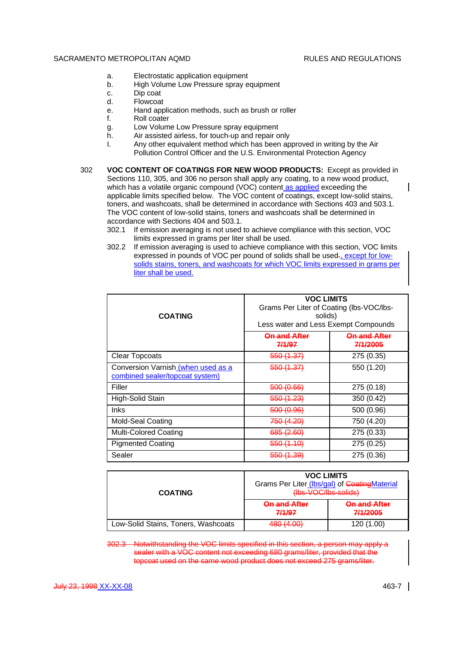- a. Electrostatic application equipment
- b. High Volume Low Pressure spray equipment
- c. Dip coat
- d. Flowcoat
- e. Hand application methods, such as brush or roller
- f. Roll coater
- g. Low Volume Low Pressure spray equipment
- h. Air assisted airless, for touch-up and repair only
- I. Any other equivalent method which has been approved in writing by the Air Pollution Control Officer and the U.S. Environmental Protection Agency
- 302 **VOC CONTENT OF COATINGS FOR NEW WOOD PRODUCTS:** Except as provided in Sections 110, 305, and 306 no person shall apply any coating, to a new wood product, which has a volatile organic compound (VOC) content as applied exceeding the applicable limits specified below. The VOC content of coatings, except low-solid stains, toners, and washcoats, shall be determined in accordance with Sections 403 and 503.1. The VOC content of low-solid stains, toners and washcoats shall be determined in accordance with Sections 404 and 503.1.
	- 302.1 If emission averaging is not used to achieve compliance with this section, VOC limits expressed in grams per liter shall be used.
	- 302.2 If emission averaging is used to achieve compliance with this section, VOC limits expressed in pounds of VOC per pound of solids shall be used-, except for lowsolids stains, toners, and washcoats for which VOC limits expressed in grams per liter shall be used.

| <b>COATING</b>                                                        | <b>VOC LIMITS</b><br>Grams Per Liter of Coating (lbs-VOC/lbs-<br>solids)<br>Less water and Less Exempt Compounds |                                                |  |
|-----------------------------------------------------------------------|------------------------------------------------------------------------------------------------------------------|------------------------------------------------|--|
|                                                                       | <b>On and After</b><br>7/1/97                                                                                    | <del>On and After</del><br><del>7/1/2005</del> |  |
| <b>Clear Topcoats</b>                                                 | <del>550 (1.37)</del>                                                                                            | 275 (0.35)                                     |  |
| Conversion Varnish (when used as a<br>combined sealer/topcoat system) | 550 (1.37)                                                                                                       | 550 (1.20)                                     |  |
| Filler                                                                | 500 (0.66)                                                                                                       | 275 (0.18)                                     |  |
| High-Solid Stain                                                      | <del>550 (1.23)</del>                                                                                            | 350 (0.42)                                     |  |
| <b>Inks</b>                                                           | 500 (0.96)                                                                                                       | 500 (0.96)                                     |  |
| <b>Mold-Seal Coating</b>                                              | <del>750 (4.20)</del>                                                                                            | 750 (4.20)                                     |  |
| <b>Multi-Colored Coating</b>                                          | <del>685 (2.60)</del>                                                                                            | 275 (0.33)                                     |  |
| <b>Pigmented Coating</b>                                              | 550 (1.10)                                                                                                       | 275 (0.25)                                     |  |
| Sealer                                                                | <del>550 (1.39)</del>                                                                                            | 275 (0.36)                                     |  |

| <b>COATING</b>                      | <b>VOC LIMITS</b><br>Grams Per Liter (Ibs/gal) of Coating Material<br>$($ lhe $\Lambda$ $($ O $\Lambda$ lhe $\Lambda$ enlide $)$<br><del>ino vooino somasi</del> |                                 |  |
|-------------------------------------|------------------------------------------------------------------------------------------------------------------------------------------------------------------|---------------------------------|--|
|                                     | <b>On and After</b><br>7/1/97                                                                                                                                    | <b>On and After</b><br>7/1/2005 |  |
| Low-Solid Stains, Toners, Washcoats | 480 (4.00)                                                                                                                                                       | 120 (1.00)                      |  |

302.3 Notwithstanding the VOC limits specified in this section, a person may apply a sealer with a VOC content not exceeding 680 grams/liter, provided that the topcoat used on the same wood product does not exceed 275 grams/liter.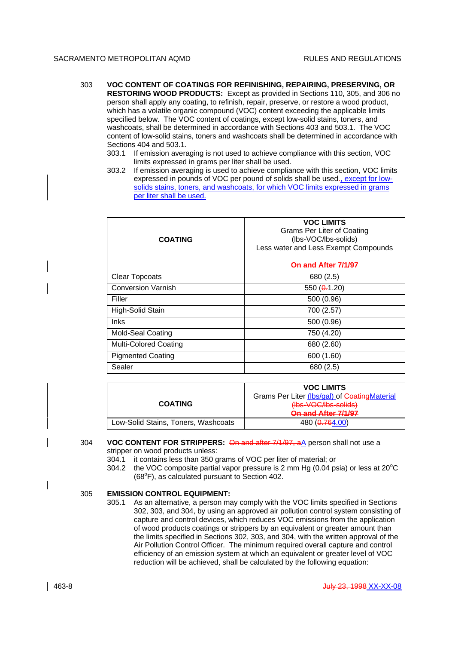- 303 **VOC CONTENT OF COATINGS FOR REFINISHING, REPAIRING, PRESERVING, OR RESTORING WOOD PRODUCTS:** Except as provided in Sections 110, 305, and 306 no person shall apply any coating, to refinish, repair, preserve, or restore a wood product, which has a volatile organic compound (VOC) content exceeding the applicable limits specified below. The VOC content of coatings, except low-solid stains, toners, and washcoats, shall be determined in accordance with Sections 403 and 503.1. The VOC content of low-solid stains, toners and washcoats shall be determined in accordance with Sections 404 and 503.1.
	- 303.1 If emission averaging is not used to achieve compliance with this section, VOC limits expressed in grams per liter shall be used.
	- 303.2 If emission averaging is used to achieve compliance with this section, VOC limits expressed in pounds of VOC per pound of solids shall be used-, except for lowsolids stains, toners, and washcoats, for which VOC limits expressed in grams per liter shall be used.

| <b>COATING</b>               | <b>VOC LIMITS</b><br>Grams Per Liter of Coating<br>(lbs-VOC/lbs-solids)<br>Less water and Less Exempt Compounds<br><u>On and After 7/1</u> |
|------------------------------|--------------------------------------------------------------------------------------------------------------------------------------------|
| <b>Clear Topcoats</b>        | 680 (2.5)                                                                                                                                  |
| <b>Conversion Varnish</b>    | 550 $(0.1.20)$                                                                                                                             |
| Filler                       | 500 (0.96)                                                                                                                                 |
| High-Solid Stain             | 700 (2.57)                                                                                                                                 |
| <b>Inks</b>                  | 500 (0.96)                                                                                                                                 |
| <b>Mold-Seal Coating</b>     | 750 (4.20)                                                                                                                                 |
| <b>Multi-Colored Coating</b> | 680 (2.60)                                                                                                                                 |
| <b>Pigmented Coating</b>     | 600 (1.60)                                                                                                                                 |
| Sealer                       | 680 (2.5)                                                                                                                                  |

|                                     | <b>VOC LIMITS</b>                                   |
|-------------------------------------|-----------------------------------------------------|
|                                     | Grams Per Liter (Ibs/gal) of Coating Material       |
| <b>COATING</b>                      | $(1he_1)/O(1he_1)$<br><del>ino vooino suido</del> i |
|                                     | On and After 7/1/97                                 |
| Low-Solid Stains, Toners, Washcoats | 480 ( $0.764.00$ )                                  |

#### 304 **VOC CONTENT FOR STRIPPERS:** On and after 7/1/97, aA person shall not use a stripper on wood products unless:

- 304.1 it contains less than 350 grams of VOC per liter of material; or
- 304.2 the VOC composite partial vapor pressure is 2 mm Hg (0.04 psia) or less at  $20^{\circ}$ C  $(68^{\circ}F)$ , as calculated pursuant to Section 402.

# 305 **EMISSION CONTROL EQUIPMENT:**

305.1 As an alternative, a person may comply with the VOC limits specified in Sections 302, 303, and 304, by using an approved air pollution control system consisting of capture and control devices, which reduces VOC emissions from the application of wood products coatings or strippers by an equivalent or greater amount than the limits specified in Sections 302, 303, and 304, with the written approval of the Air Pollution Control Officer. The minimum required overall capture and control efficiency of an emission system at which an equivalent or greater level of VOC reduction will be achieved, shall be calculated by the following equation: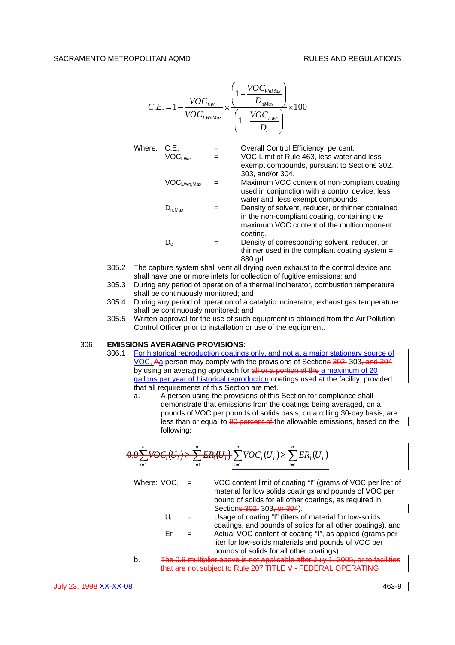$$
C.E. = 1 - \frac{VOC_{LWc}}{VOC_{LWnMax}} \times \frac{\left(1 - \frac{VOC_{WnMax}}{D_{nMax}}\right)}{\left(1 - \frac{VOC_{LWc}}{D_c}\right)} \times 100
$$

| Where: | C.E.<br>VOC <sub>LWC</sub> | $=$<br>$=$ | Overall Control Efficiency, percent.<br>VOC Limit of Rule 463, less water and less                                                                         |
|--------|----------------------------|------------|------------------------------------------------------------------------------------------------------------------------------------------------------------|
|        |                            |            | exempt compounds, pursuant to Sections 302,<br>303, and/or 304.                                                                                            |
|        | $VOC_{LWn, Max}$           |            | Maximum VOC content of non-compliant coating<br>used in conjunction with a control device, less<br>water and less exempt compounds.                        |
|        | $D_{n, \text{Max}}$        |            | Density of solvent, reducer, or thinner contained<br>in the non-compliant coating, containing the<br>maximum VOC content of the multicomponent<br>coating. |
|        | $D_c$                      |            | Density of corresponding solvent, reducer, or<br>thinner used in the compliant coating system $=$<br>880 g/L.                                              |

- 305.2 The capture system shall vent all drying oven exhaust to the control device and shall have one or more inlets for collection of fugitive emissions; and
- 305.3 During any period of operation of a thermal incinerator, combustion temperature shall be continuously monitored; and
- 305.4 During any period of operation of a catalytic incinerator, exhaust gas temperature shall be continuously monitored; and
- 305.5 Written approval for the use of such equipment is obtained from the Air Pollution Control Officer prior to installation or use of the equipment.

## 306 **EMISSIONS AVERAGING PROVISIONS:**

- 306.1 For historical reproduction coatings only, and not at a major stationary source of VOC, Aa person may comply with the provisions of Sections 302, 303, and 304 by using an averaging approach for all or a portion of the a maximum of 20 gallons per year of historical reproduction coatings used at the facility, provided that all requirements of this Section are met.
	- a. A person using the provisions of this Section for compliance shall demonstrate that emissions from the coatings being averaged, on a pounds of VOC per pounds of solids basis, on a rolling 30-day basis, are less than or equal to  $90$  percent of the allowable emissions, based on the following:

$$
0.9\sum_{i=1}^{n}VOC_i(U_i) \ge \sum_{i=1}^{n}ER_i(U_i) \sum_{i=1}^{n}VOC_i(U_i) \ge \sum_{i=1}^{n}ER_i(U_i)
$$

- Where:  $VOC_i$  = VOC content limit of coating "I" (grams of VOC per liter of material for low solids coatings and pounds of VOC per pound of solids for all other coatings, as required in Sections 302, 303, or 304).
	- $U_i$  = Usage of coating "I" (liters of material for low-solids coatings, and pounds of solids for all other coatings), and
	- $Er_i$  = Actual VOC content of coating "I", as applied (grams per liter for low-solids materials and pounds of VOC per pounds of solids for all other coatings).
- b. The 0.9 multiplier above is not applicable after July 1, 2005, or to facilities that are not subject to Rule 207 TITLE V - FEDERAL OPERATING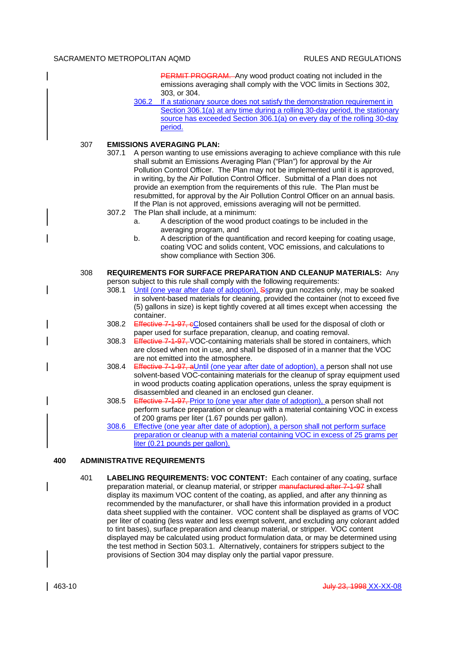PERMIT PROGRAM. Any wood product coating not included in the emissions averaging shall comply with the VOC limits in Sections 302, 303, or 304.

306.2 If a stationary source does not satisfy the demonstration requirement in Section 306.1(a) at any time during a rolling 30-day period, the stationary source has exceeded Section 306.1(a) on every day of the rolling 30-day period.

# 307 **EMISSIONS AVERAGING PLAN:**

- 307.1 A person wanting to use emissions averaging to achieve compliance with this rule shall submit an Emissions Averaging Plan ("Plan") for approval by the Air Pollution Control Officer. The Plan may not be implemented until it is approved, in writing, by the Air Pollution Control Officer. Submittal of a Plan does not provide an exemption from the requirements of this rule. The Plan must be resubmitted, for approval by the Air Pollution Control Officer on an annual basis. If the Plan is not approved, emissions averaging will not be permitted.
- 307.2 The Plan shall include, at a minimum:
	- a. A description of the wood product coatings to be included in the averaging program, and
	- b. A description of the quantification and record keeping for coating usage, coating VOC and solids content, VOC emissions, and calculations to show compliance with Section 306.

## 308 **REQUIREMENTS FOR SURFACE PREPARATION AND CLEANUP MATERIALS:** Any person subject to this rule shall comply with the following requirements:

- 308.1 Until (one year after date of adoption), Sspray gun nozzles only, may be soaked in solvent-based materials for cleaning, provided the container (not to exceed five (5) gallons in size) is kept tightly covered at all times except when accessing the container.
- 308.2 Effective 7-1-97, eClosed containers shall be used for the disposal of cloth or paper used for surface preparation, cleanup, and coating removal.
- 308.3 Effective 7-1-97, VOC-containing materials shall be stored in containers, which are closed when not in use, and shall be disposed of in a manner that the VOC are not emitted into the atmosphere.
- 308.4 Effective 7-1-97, aUntil (one year after date of adoption), a person shall not use solvent-based VOC-containing materials for the cleanup of spray equipment used in wood products coating application operations, unless the spray equipment is disassembled and cleaned in an enclosed gun cleaner.
- 308.5 Effective 7-1-97, Prior to (one year after date of adoption), a person shall not perform surface preparation or cleanup with a material containing VOC in excess of 200 grams per liter (1.67 pounds per gallon).
- 308.6 Effective (one year after date of adoption), a person shall not perform surface preparation or cleanup with a material containing VOC in excess of 25 grams per liter (0.21 pounds per gallon).

# **400 ADMINISTRATIVE REQUIREMENTS**

401 **LABELING REQUIREMENTS: VOC CONTENT:** Each container of any coating, surface preparation material, or cleanup material, or stripper manufactured after 7-1-97 shall display its maximum VOC content of the coating, as applied, and after any thinning as recommended by the manufacturer, or shall have this information provided in a product data sheet supplied with the container. VOC content shall be displayed as grams of VOC per liter of coating (less water and less exempt solvent, and excluding any colorant added to tint bases), surface preparation and cleanup material, or stripper. VOC content displayed may be calculated using product formulation data, or may be determined using the test method in Section 503.1. Alternatively, containers for strippers subject to the provisions of Section 304 may display only the partial vapor pressure.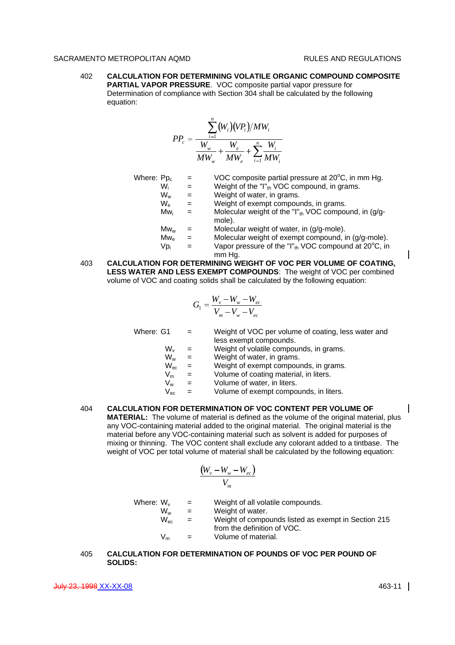402 **CALCULATION FOR DETERMINING VOLATILE ORGANIC COMPOUND COMPOSITE PARTIAL VAPOR PRESSURE**. VOC composite partial vapor pressure for Determination of compliance with Section 304 shall be calculated by the following equation:

$$
PP_c = \frac{\sum_{i=1}^{n} (W_i)(VP_i)/MW_i}{\frac{W_w}{MW_w} + \frac{W_e}{MW_v} + \sum_{i=1}^{n} \frac{W_i}{MW_i}}
$$

| Where: Pp <sub>c</sub> |                 | $=$ | VOC composite partial pressure at 20°C, in mm Hg.                                      |
|------------------------|-----------------|-----|----------------------------------------------------------------------------------------|
|                        | Wi              | $=$ | Weight of the "I" <sub>th</sub> VOC compound, in grams.                                |
|                        | $W_{w}$         | $=$ | Weight of water, in grams.                                                             |
|                        | $W_{\rm e}$     | $=$ | Weight of exempt compounds, in grams.                                                  |
|                        | Mw <sub>i</sub> | $=$ | Molecular weight of the "I" $_{\text{th}}$ VOC compound, in (g/g-<br>mole).            |
|                        | $Mw_w$          |     | Molecular weight of water, in (g/g-mole).                                              |
|                        | $Mw_{e}$        | $=$ | Molecular weight of exempt compound, in (g/g-mole).                                    |
|                        | Vp <sub>i</sub> |     | Vapor pressure of the "I" $_{\text{th}}$ VOC compound at 20 $^{\circ}$ C, in<br>mm Hg. |

403 **CALCULATION FOR DETERMINING WEIGHT OF VOC PER VOLUME OF COATING, LESS WATER AND LESS EXEMPT COMPOUNDS**: The weight of VOC per combined volume of VOC and coating solids shall be calculated by the following equation:

$$
G_1 = \frac{W_v - W_w - W_{ec}}{V_m - V_w - V_{ec}}
$$

| Where: G1                  | $=$ | Weight of VOC per volume of coating, less water and |
|----------------------------|-----|-----------------------------------------------------|
|                            |     | less exempt compounds.                              |
| $W_{\nu}$                  |     | Weight of volatile compounds, in grams.             |
| $W_w$                      |     | Weight of water, in grams.                          |
| $W_{\text{ec}}$            |     | Weight of exempt compounds, in grams.               |
| $\mathsf{V}_{\mathsf{m}}$  | $=$ | Volume of coating material, in liters.              |
| V <sub>w</sub>             | $=$ | Volume of water, in liters.                         |
| $\mathsf{V}_{\mathsf{ec}}$ | $=$ | Volume of exempt compounds, in liters.              |
|                            |     |                                                     |

404 **CALCULATION FOR DETERMINATION OF VOC CONTENT PER VOLUME OF MATERIAL:** The volume of material is defined as the volume of the original material, plus any VOC-containing material added to the original material. The original material is the material before any VOC-containing material such as solvent is added for purposes of mixing or thinning. The VOC content shall exclude any colorant added to a tintbase. The weight of VOC per total volume of material shall be calculated by the following equation:

$$
\frac{(W_v - W_w - W_{ec})}{V_m}
$$

| Where: W <sub>v</sub> | $\mathbf{r} = \mathbf{r}$ | Weight of all volatile compounds.                   |
|-----------------------|---------------------------|-----------------------------------------------------|
| Ww                    | $=$                       | Weight of water.                                    |
| $W_{\text{ec}}$       | $=$                       | Weight of compounds listed as exempt in Section 215 |
| $V_m$                 | $\mathbf{r}$              | from the definition of VOC.<br>Volume of material.  |

# 405 **CALCULATION FOR DETERMINATION OF POUNDS OF VOC PER POUND OF SOLIDS:**

**July 23, 1998 XX-XX-08** 463-11 20 463-11 20 463-11 20 463-11 20 463-11 20 463-11 20 463-11 20 463-11 20 463-11 20 463-11 20 463-11 20 463-11 20 463-11 20 463-11 20 463-11 20 463-11 20 463-11 20 463-11 20 463-11 20 463-11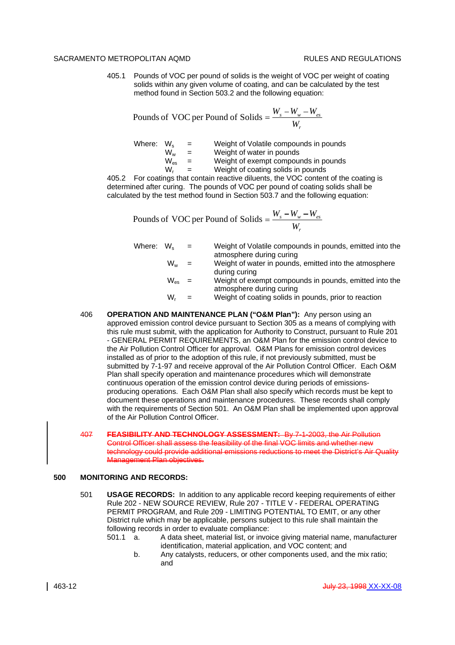405.1 Pounds of VOC per pound of solids is the weight of VOC per weight of coating solids within any given volume of coating, and can be calculated by the test method found in Section 503.2 and the following equation:

Pounds of VOC per Pound of Solids = 
$$
\frac{W_s - W_w - W_{es}}{W_r}
$$

Where:  $W_s$  = Weight of Volatile compounds in pounds<br>  $W_w$  = Weight of water in pounds  $W_w$  = Weight of water in pounds<br> $W_{\infty}$  = Weight of exempt compou  $W_{\text{es}}$  = Weight of exempt compounds in pounds<br>W. = Weight of coating solids in pounds  $=$  Weight of coating solids in pounds

405.2 For coatings that contain reactive diluents, the VOC content of the coating is determined after curing. The pounds of VOC per pound of coating solids shall be calculated by the test method found in Section 503.7 and the following equation:

Pounds of VOC per Pound of Solids = 
$$
\frac{W_s - W_w - W_{es}}{W_r}
$$

| Where: W。 |         | $\equiv$ $\equiv$ | Weight of Volatile compounds in pounds, emitted into the |
|-----------|---------|-------------------|----------------------------------------------------------|
|           |         |                   | atmosphere during curing                                 |
|           | $W_w =$ |                   | Weight of water in pounds, emitted into the atmosphere   |
|           |         |                   | during curing                                            |
|           | w       |                   | Weight of exempt compounds in pounds emitted into the    |

- W $_{\rm es}$   $\quad$  =  $\qquad$  Weight of exempt compounds in pounds, emitted into the atmosphere during curing
- $W_r$  = Weight of coating solids in pounds, prior to reaction
- 406 **OPERATION AND MAINTENANCE PLAN ("O&M Plan"):** Any person using an approved emission control device pursuant to Section 305 as a means of complying with this rule must submit, with the application for Authority to Construct, pursuant to Rule 201 - GENERAL PERMIT REQUIREMENTS, an O&M Plan for the emission control device to the Air Pollution Control Officer for approval. O&M Plans for emission control devices installed as of prior to the adoption of this rule, if not previously submitted, must be submitted by 7-1-97 and receive approval of the Air Pollution Control Officer. Each O&M Plan shall specify operation and maintenance procedures which will demonstrate continuous operation of the emission control device during periods of emissionsproducing operations. Each O&M Plan shall also specify which records must be kept to document these operations and maintenance procedures. These records shall comply with the requirements of Section 501. An O&M Plan shall be implemented upon approval of the Air Pollution Control Officer.
- 407 **FEASIBILITY AND TECHNOLOGY ASSESSMENT:** By 7-1-2003, the Air Pollution Control Officer shall assess the feasibility of the final VOC limits and whether new technology could provide additional emissions reductions to meet the District's Air Quality Management Plan objectives.

# **500 MONITORING AND RECORDS:**

501 **USAGE RECORDS:** In addition to any applicable record keeping requirements of either Rule 202 - NEW SOURCE REVIEW, Rule 207 - TITLE V - FEDERAL OPERATING PERMIT PROGRAM, and Rule 209 - LIMITING POTENTIAL TO EMIT, or any other District rule which may be applicable, persons subject to this rule shall maintain the following records in order to evaluate compliance:

501.1 a. A data sheet, material list, or invoice giving material name, manufacturer identification, material application, and VOC content; and

b. Any catalysts, reducers, or other components used, and the mix ratio; and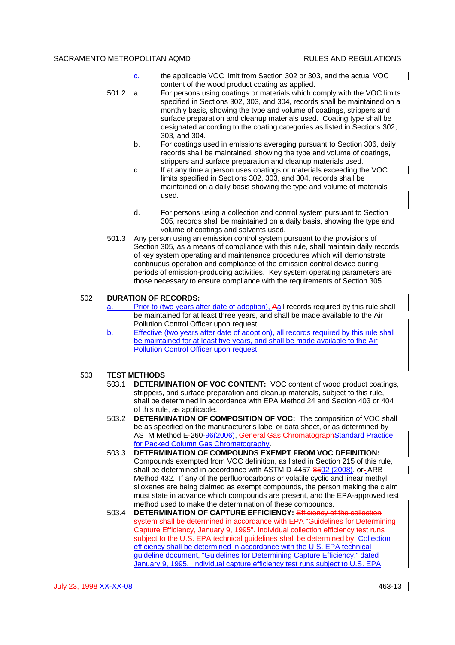$\mathsf{l}$ 

- c. the applicable VOC limit from Section 302 or 303, and the actual VOC content of the wood product coating as applied.
- 501.2 a. For persons using coatings or materials which comply with the VOC limits specified in Sections 302, 303, and 304, records shall be maintained on a monthly basis, showing the type and volume of coatings, strippers and surface preparation and cleanup materials used. Coating type shall be designated according to the coating categories as listed in Sections 302, 303, and 304.
	- b. For coatings used in emissions averaging pursuant to Section 306, daily records shall be maintained, showing the type and volume of coatings, strippers and surface preparation and cleanup materials used.
	- c. If at any time a person uses coatings or materials exceeding the VOC limits specified in Sections 302, 303, and 304, records shall be maintained on a daily basis showing the type and volume of materials used.
	- d. For persons using a collection and control system pursuant to Section 305, records shall be maintained on a daily basis, showing the type and volume of coatings and solvents used.
- 501.3 Any person using an emission control system pursuant to the provisions of Section 305, as a means of compliance with this rule, shall maintain daily records of key system operating and maintenance procedures which will demonstrate continuous operation and compliance of the emission control device during periods of emission-producing activities. Key system operating parameters are those necessary to ensure compliance with the requirements of Section 305.

# 502 **DURATION OF RECORDS:**

- a. Prior to (two years after date of adoption), Aall records required by this rule shall be maintained for at least three years, and shall be made available to the Air Pollution Control Officer upon request.
- b. Effective (two years after date of adoption), all records required by this rule shall be maintained for at least five years, and shall be made available to the Air Pollution Control Officer upon request.

#### 503 **TEST METHODS**

- 503.1 **DETERMINATION OF VOC CONTENT:** VOC content of wood product coatings, strippers, and surface preparation and cleanup materials, subject to this rule, shall be determined in accordance with EPA Method 24 and Section 403 or 404 of this rule, as applicable.
- 503.2 **DETERMINATION OF COMPOSITION OF VOC:** The composition of VOC shall be as specified on the manufacturer's label or data sheet, or as determined by ASTM Method E-260-96(2006), General Gas ChromatographStandard Practice for Packed Column Gas Chromatography.
- 503.3 **DETERMINATION OF COMPOUNDS EXEMPT FROM VOC DEFINITION:** Compounds exempted from VOC definition, as listed in Section 215 of this rule, shall be determined in accordance with ASTM D-4457-8502 (2008), or-ARB Method 432. If any of the perfluorocarbons or volatile cyclic and linear methyl siloxanes are being claimed as exempt compounds, the person making the claim must state in advance which compounds are present, and the EPA-approved test method used to make the determination of these compounds.
- 503.4 **DETERMINATION OF CAPTURE EFFICIENCY:** Efficiency of the system shall be determined in accordance with EPA "Guidelines for Determining Capture Efficiency, January 9, 1995". Individual collection efficiency test runs subject to the U.S. EPA technical guidelines shall be determined by: Collection efficiency shall be determined in accordance with the U.S. EPA technical guideline document, "Guidelines for Determining Capture Efficiency," dated January 9, 1995. Individual capture efficiency test runs subject to U.S. EPA